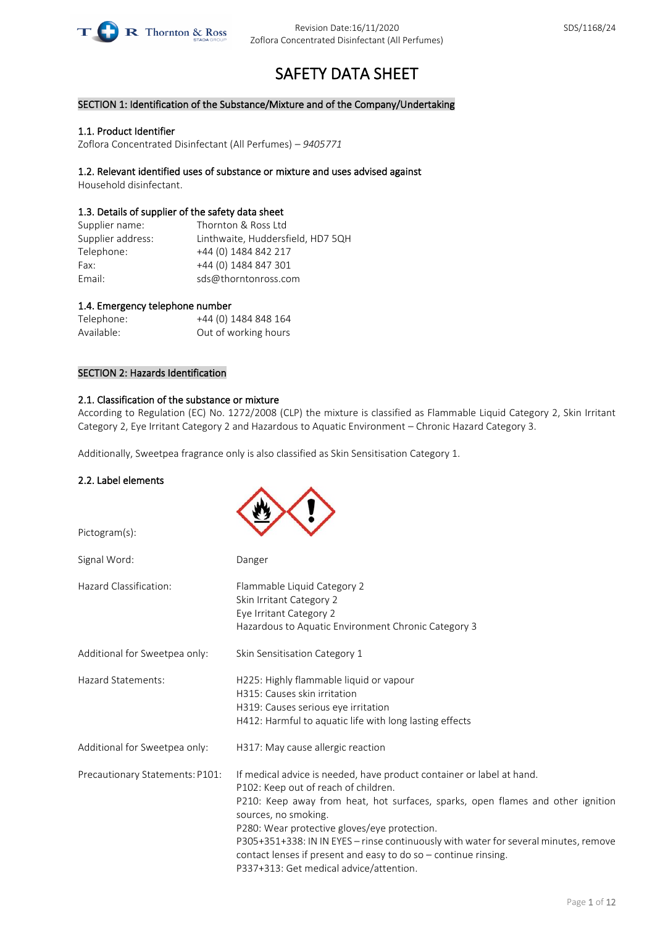

# SAFETY DATA SHEET

# SECTION 1: Identification of the Substance/Mixture and of the Company/Undertaking

# 1.1. Product Identifier

Zoflora Concentrated Disinfectant (All Perfumes) – *9405771*

# 1.2. Relevant identified uses of substance or mixture and uses advised against

Household disinfectant.

# 1.3. Details of supplier of the safety data sheet

| Supplier name:    | Thornton & Ross Ltd               |
|-------------------|-----------------------------------|
| Supplier address: | Linthwaite, Huddersfield, HD7 5QH |
| Telephone:        | +44 (0) 1484 842 217              |
| Fax:              | +44 (0) 1484 847 301              |
| Email:            | sds@thorntonross.com              |

### 1.4. Emergency telephone number

| Telephone: |  | +44 (0) 1484 848 164 |
|------------|--|----------------------|
| Available: |  | Out of working hours |

# SECTION 2: Hazards Identification

# 2.1. Classification of the substance or mixture

According to Regulation (EC) No. 1272/2008 (CLP) the mixture is classified as Flammable Liquid Category 2, Skin Irritant Category 2, Eye Irritant Category 2 and Hazardous to Aquatic Environment – Chronic Hazard Category 3.

Additionally, Sweetpea fragrance only is also classified as Skin Sensitisation Category 1.

# 2.2. Label elements

| Pictogram(s):                   |                                                                                                                                                                                                                                                                                                                                                                                                                                                                                |
|---------------------------------|--------------------------------------------------------------------------------------------------------------------------------------------------------------------------------------------------------------------------------------------------------------------------------------------------------------------------------------------------------------------------------------------------------------------------------------------------------------------------------|
| Signal Word:                    | Danger                                                                                                                                                                                                                                                                                                                                                                                                                                                                         |
| Hazard Classification:          | Flammable Liquid Category 2<br>Skin Irritant Category 2<br>Eye Irritant Category 2<br>Hazardous to Aquatic Environment Chronic Category 3                                                                                                                                                                                                                                                                                                                                      |
| Additional for Sweetpea only:   | Skin Sensitisation Category 1                                                                                                                                                                                                                                                                                                                                                                                                                                                  |
| <b>Hazard Statements:</b>       | H225: Highly flammable liquid or vapour<br>H315: Causes skin irritation<br>H319: Causes serious eye irritation<br>H412: Harmful to aquatic life with long lasting effects                                                                                                                                                                                                                                                                                                      |
| Additional for Sweetpea only:   | H317: May cause allergic reaction                                                                                                                                                                                                                                                                                                                                                                                                                                              |
| Precautionary Statements: P101: | If medical advice is needed, have product container or label at hand.<br>P102: Keep out of reach of children.<br>P210: Keep away from heat, hot surfaces, sparks, open flames and other ignition<br>sources, no smoking.<br>P280: Wear protective gloves/eye protection.<br>P305+351+338: IN IN EYES - rinse continuously with water for several minutes, remove<br>contact lenses if present and easy to do so - continue rinsing.<br>P337+313: Get medical advice/attention. |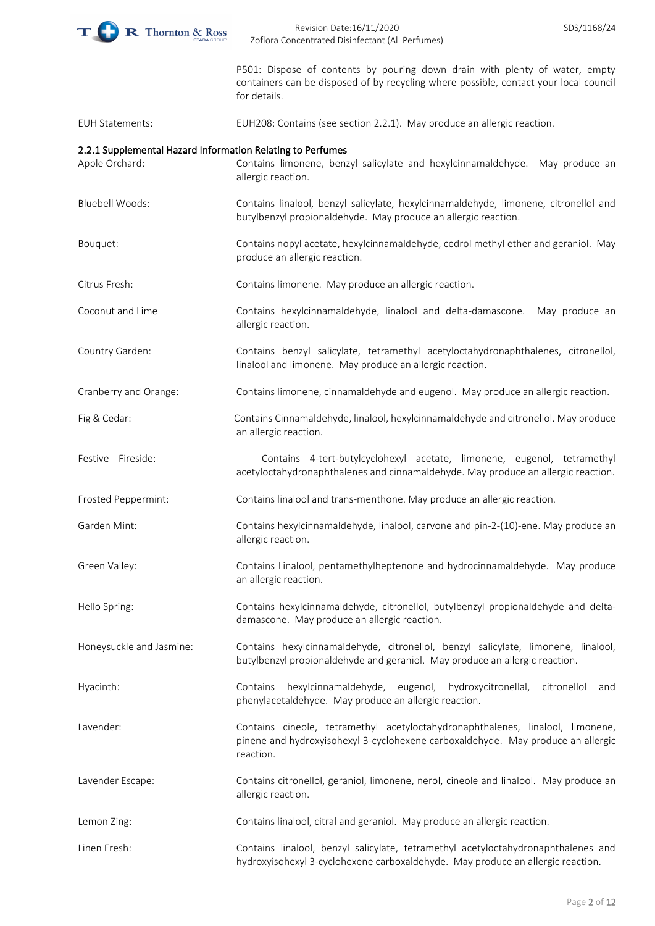

EUH Statements: EUH208: Contains (see section 2.2.1). May produce an allergic reaction.

P501: Dispose of contents by pouring down drain with plenty of water, empty containers can be disposed of by recycling where possible, contact your local council for details.

| 2.2.1 Supplemental Hazard Information Relating to Perfumes |                                                                                                                                                                                 |
|------------------------------------------------------------|---------------------------------------------------------------------------------------------------------------------------------------------------------------------------------|
| Apple Orchard:                                             | Contains limonene, benzyl salicylate and hexylcinnamaldehyde. May produce an<br>allergic reaction.                                                                              |
| <b>Bluebell Woods:</b>                                     | Contains linalool, benzyl salicylate, hexylcinnamaldehyde, limonene, citronellol and<br>butylbenzyl propionaldehyde. May produce an allergic reaction.                          |
| Bouquet:                                                   | Contains nopyl acetate, hexylcinnamaldehyde, cedrol methyl ether and geraniol. May<br>produce an allergic reaction.                                                             |
| Citrus Fresh:                                              | Contains limonene. May produce an allergic reaction.                                                                                                                            |
| Coconut and Lime                                           | Contains hexylcinnamaldehyde, linalool and delta-damascone. May produce an<br>allergic reaction.                                                                                |
| Country Garden:                                            | Contains benzyl salicylate, tetramethyl acetyloctahydronaphthalenes, citronellol,<br>linalool and limonene. May produce an allergic reaction.                                   |
| Cranberry and Orange:                                      | Contains limonene, cinnamaldehyde and eugenol. May produce an allergic reaction.                                                                                                |
| Fig & Cedar:                                               | Contains Cinnamaldehyde, linalool, hexylcinnamaldehyde and citronellol. May produce<br>an allergic reaction.                                                                    |
| Festive Fireside:                                          | Contains 4-tert-butylcyclohexyl acetate, limonene, eugenol, tetramethyl<br>acetyloctahydronaphthalenes and cinnamaldehyde. May produce an allergic reaction.                    |
| Frosted Peppermint:                                        | Contains linalool and trans-menthone. May produce an allergic reaction.                                                                                                         |
| Garden Mint:                                               | Contains hexylcinnamaldehyde, linalool, carvone and pin-2-(10)-ene. May produce an<br>allergic reaction.                                                                        |
| Green Valley:                                              | Contains Linalool, pentamethylheptenone and hydrocinnamaldehyde. May produce<br>an allergic reaction.                                                                           |
| Hello Spring:                                              | Contains hexylcinnamaldehyde, citronellol, butylbenzyl propionaldehyde and delta-<br>damascone. May produce an allergic reaction.                                               |
| Honeysuckle and Jasmine:                                   | Contains hexylcinnamaldehyde, citronellol, benzyl salicylate, limonene, linalool,<br>butylbenzyl propionaldehyde and geraniol. May produce an allergic reaction.                |
| Hyacinth:                                                  | hexylcinnamaldehyde, eugenol, hydroxycitronellal,<br>citronellol<br>Contains<br>and<br>phenylacetaldehyde. May produce an allergic reaction.                                    |
| Lavender:                                                  | Contains cineole, tetramethyl acetyloctahydronaphthalenes, linalool, limonene,<br>pinene and hydroxyisohexyl 3-cyclohexene carboxaldehyde. May produce an allergic<br>reaction. |
| Lavender Escape:                                           | Contains citronellol, geraniol, limonene, nerol, cineole and linalool. May produce an<br>allergic reaction.                                                                     |
| Lemon Zing:                                                | Contains linalool, citral and geraniol. May produce an allergic reaction.                                                                                                       |
| Linen Fresh:                                               | Contains linalool, benzyl salicylate, tetramethyl acetyloctahydronaphthalenes and<br>hydroxyisohexyl 3-cyclohexene carboxaldehyde. May produce an allergic reaction.            |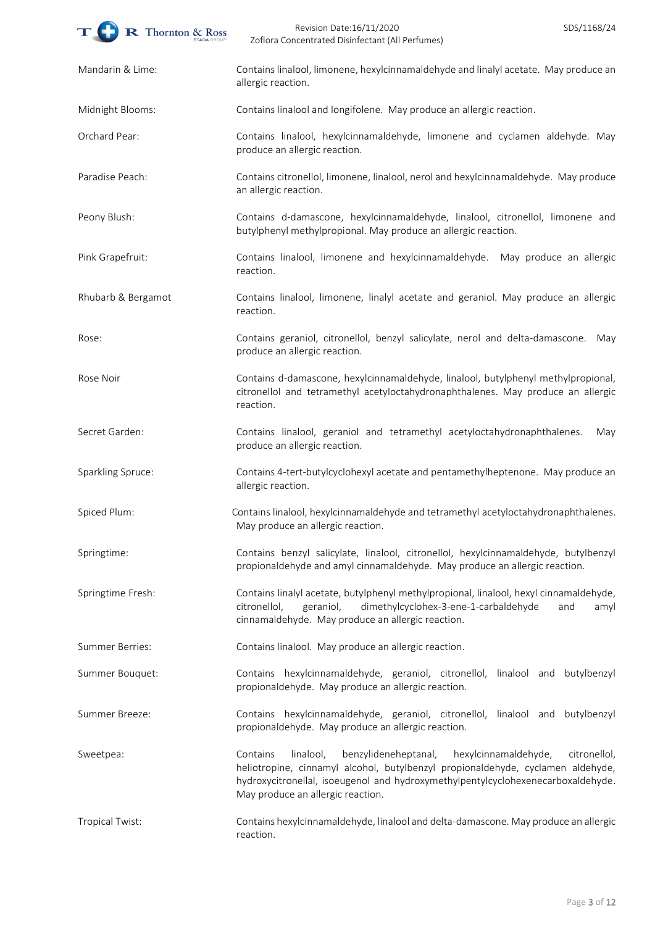| <b>R</b> Thornton & Ross | Revision Date:16/11/2020<br>SDS/1168/24<br>Zoflora Concentrated Disinfectant (All Perfumes)                                                                                                                                                                                                       |
|--------------------------|---------------------------------------------------------------------------------------------------------------------------------------------------------------------------------------------------------------------------------------------------------------------------------------------------|
| Mandarin & Lime:         | Contains linalool, limonene, hexylcinnamaldehyde and linalyl acetate. May produce an<br>allergic reaction.                                                                                                                                                                                        |
| Midnight Blooms:         | Contains linalool and longifolene. May produce an allergic reaction.                                                                                                                                                                                                                              |
| Orchard Pear:            | Contains linalool, hexylcinnamaldehyde, limonene and cyclamen aldehyde. May<br>produce an allergic reaction.                                                                                                                                                                                      |
| Paradise Peach:          | Contains citronellol, limonene, linalool, nerol and hexylcinnamaldehyde. May produce<br>an allergic reaction.                                                                                                                                                                                     |
| Peony Blush:             | Contains d-damascone, hexylcinnamaldehyde, linalool, citronellol, limonene and<br>butylphenyl methylpropional. May produce an allergic reaction.                                                                                                                                                  |
| Pink Grapefruit:         | Contains linalool, limonene and hexylcinnamaldehyde. May produce an allergic<br>reaction.                                                                                                                                                                                                         |
| Rhubarb & Bergamot       | Contains linalool, limonene, linalyl acetate and geraniol. May produce an allergic<br>reaction.                                                                                                                                                                                                   |
| Rose:                    | Contains geraniol, citronellol, benzyl salicylate, nerol and delta-damascone.<br>May<br>produce an allergic reaction.                                                                                                                                                                             |
| Rose Noir                | Contains d-damascone, hexylcinnamaldehyde, linalool, butylphenyl methylpropional,<br>citronellol and tetramethyl acetyloctahydronaphthalenes. May produce an allergic<br>reaction.                                                                                                                |
| Secret Garden:           | Contains linalool, geraniol and tetramethyl acetyloctahydronaphthalenes.<br>May<br>produce an allergic reaction.                                                                                                                                                                                  |
| Sparkling Spruce:        | Contains 4-tert-butylcyclohexyl acetate and pentamethylheptenone. May produce an<br>allergic reaction.                                                                                                                                                                                            |
| Spiced Plum:             | Contains linalool, hexylcinnamaldehyde and tetramethyl acetyloctahydronaphthalenes.<br>May produce an allergic reaction.                                                                                                                                                                          |
| Springtime:              | Contains benzyl salicylate, linalool, citronellol, hexylcinnamaldehyde, butylbenzyl<br>propionaldehyde and amyl cinnamaldehyde. May produce an allergic reaction.                                                                                                                                 |
| Springtime Fresh:        | Contains linalyl acetate, butylphenyl methylpropional, linalool, hexyl cinnamaldehyde,<br>geraniol,<br>dimethylcyclohex-3-ene-1-carbaldehyde<br>citronellol,<br>and<br>amyl<br>cinnamaldehyde. May produce an allergic reaction.                                                                  |
| <b>Summer Berries:</b>   | Contains linalool. May produce an allergic reaction.                                                                                                                                                                                                                                              |
| Summer Bouquet:          | Contains hexylcinnamaldehyde, geraniol, citronellol, linalool and butylbenzyl<br>propionaldehyde. May produce an allergic reaction.                                                                                                                                                               |
| Summer Breeze:           | Contains hexylcinnamaldehyde, geraniol, citronellol, linalool and butylbenzyl<br>propionaldehyde. May produce an allergic reaction.                                                                                                                                                               |
| Sweetpea:                | Contains<br>benzylideneheptanal,<br>hexylcinnamaldehyde,<br>citronellol,<br>linalool,<br>heliotropine, cinnamyl alcohol, butylbenzyl propionaldehyde, cyclamen aldehyde,<br>hydroxycitronellal, isoeugenol and hydroxymethylpentylcyclohexenecarboxaldehyde.<br>May produce an allergic reaction. |
| <b>Tropical Twist:</b>   | Contains hexylcinnamaldehyde, linalool and delta-damascone. May produce an allergic<br>reaction.                                                                                                                                                                                                  |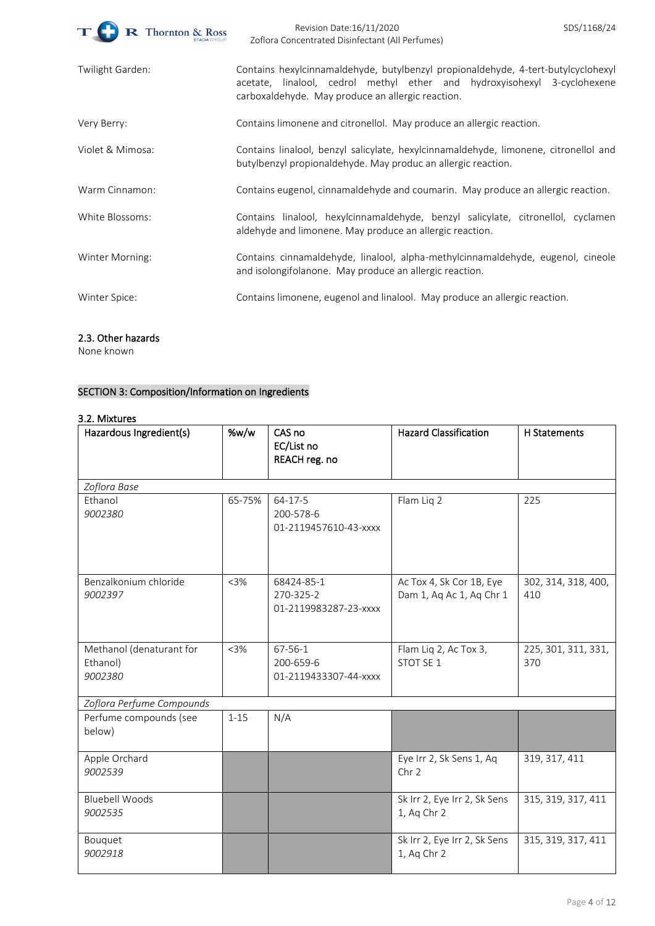|                  | <b>STADA GROUP</b> | Zoflora Concentrated Disinfectant (All Perfumes)                                                                                                                                                                   |
|------------------|--------------------|--------------------------------------------------------------------------------------------------------------------------------------------------------------------------------------------------------------------|
| Twilight Garden: |                    | Contains hexylcinnamaldehyde, butylbenzyl propionaldehyde, 4-tert-butylcyclohexyl<br>acetate, linalool, cedrol methyl ether and hydroxyisohexyl 3-cyclohexene<br>carboxaldehyde. May produce an allergic reaction. |
| Very Berry:      |                    | Contains limonene and citronellol. May produce an allergic reaction.                                                                                                                                               |
| Violet & Mimosa: |                    | Contains linalool, benzyl salicylate, hexylcinnamaldehyde, limonene, citronellol and<br>butylbenzyl propionaldehyde. May produc an allergic reaction.                                                              |
| Warm Cinnamon:   |                    | Contains eugenol, cinnamaldehyde and coumarin. May produce an allergic reaction.                                                                                                                                   |
| White Blossoms:  |                    | Contains linalool, hexylcinnamaldehyde, benzyl salicylate, citronellol, cyclamen<br>aldehyde and limonene. May produce an allergic reaction.                                                                       |
| Winter Morning:  |                    | Contains cinnamaldehyde, linalool, alpha-methylcinnamaldehyde, eugenol, cineole<br>and isolongifolanone. May produce an allergic reaction.                                                                         |
| Winter Spice:    |                    | Contains limonene, eugenol and linalool. May produce an allergic reaction.                                                                                                                                         |

# 2.3. Other hazards

None known

# SECTION 3: Composition/Information on Ingredients

# 3.2. Mixtures

| Hazardous Ingredient(s)                         | %w/w     | CAS no<br>EC/List no<br>REACH reg. no               | <b>Hazard Classification</b>                         | <b>H</b> Statements        |
|-------------------------------------------------|----------|-----------------------------------------------------|------------------------------------------------------|----------------------------|
| Zoflora Base                                    |          |                                                     |                                                      |                            |
| Ethanol<br>9002380                              | 65-75%   | $64 - 17 - 5$<br>200-578-6<br>01-2119457610-43-xxxx | Flam Liq 2                                           | 225                        |
| Benzalkonium chloride<br>9002397                | < 3%     | 68424-85-1<br>270-325-2<br>01-2119983287-23-xxxx    | Ac Tox 4, Sk Cor 1B, Eye<br>Dam 1, Aq Ac 1, Aq Chr 1 | 302, 314, 318, 400,<br>410 |
| Methanol (denaturant for<br>Ethanol)<br>9002380 | $<$ 3%   | 67-56-1<br>200-659-6<br>01-2119433307-44-xxxx       | Flam Liq 2, Ac Tox 3,<br>STOT SE 1                   | 225, 301, 311, 331,<br>370 |
| Zoflora Perfume Compounds                       |          |                                                     |                                                      |                            |
| Perfume compounds (see<br>below)                | $1 - 15$ | N/A                                                 |                                                      |                            |
| Apple Orchard<br>9002539                        |          |                                                     | Eye Irr 2, Sk Sens 1, Aq<br>Chr <sub>2</sub>         | 319, 317, 411              |
| <b>Bluebell Woods</b><br>9002535                |          |                                                     | Sk Irr 2, Eye Irr 2, Sk Sens<br>1, Aq Chr 2          | 315, 319, 317, 411         |
| Bouquet<br>9002918                              |          |                                                     | Sk Irr 2, Eye Irr 2, Sk Sens<br>1, Aq Chr 2          | 315, 319, 317, 411         |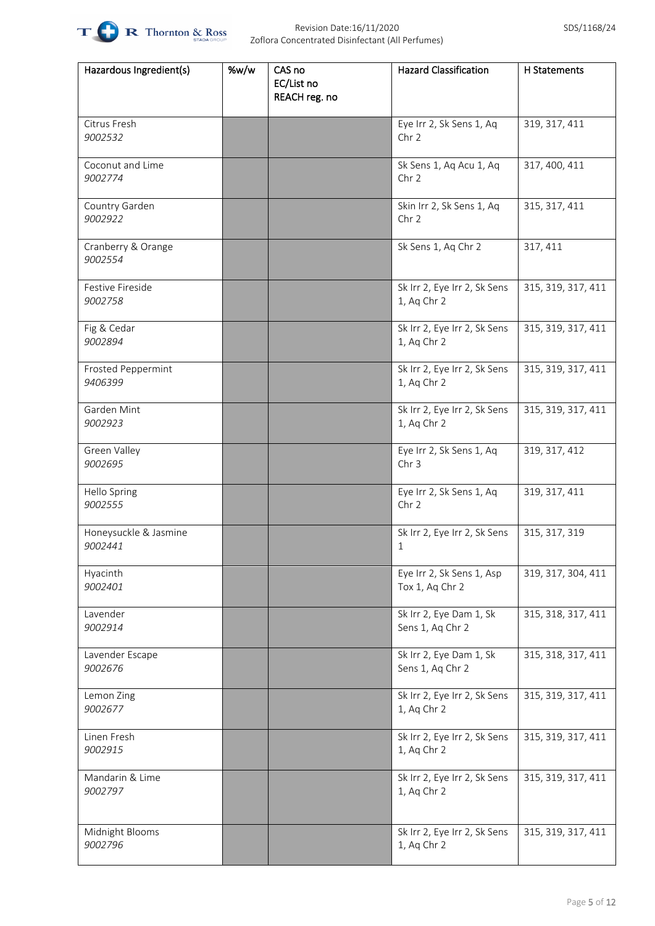

| Hazardous Ingredient(s)              | %w/w | CAS no                      | <b>Hazard Classification</b>                 | H Statements       |
|--------------------------------------|------|-----------------------------|----------------------------------------------|--------------------|
|                                      |      | EC/List no<br>REACH reg. no |                                              |                    |
| Citrus Fresh<br>9002532              |      |                             | Eye Irr 2, Sk Sens 1, Aq<br>Chr <sub>2</sub> | 319, 317, 411      |
| Coconut and Lime<br>9002774          |      |                             | Sk Sens 1, Aq Acu 1, Aq<br>Chr 2             | 317, 400, 411      |
| Country Garden<br>9002922            |      |                             | Skin Irr 2, Sk Sens 1, Aq<br>Chr 2           | 315, 317, 411      |
| Cranberry & Orange<br>9002554        |      |                             | Sk Sens 1, Aq Chr 2                          | 317, 411           |
| Festive Fireside<br>9002758          |      |                             | Sk Irr 2, Eye Irr 2, Sk Sens<br>1, Aq Chr 2  | 315, 319, 317, 411 |
| Fig & Cedar<br>9002894               |      |                             | Sk Irr 2, Eye Irr 2, Sk Sens<br>1, Aq Chr 2  | 315, 319, 317, 411 |
| <b>Frosted Peppermint</b><br>9406399 |      |                             | Sk Irr 2, Eye Irr 2, Sk Sens<br>1, Aq Chr 2  | 315, 319, 317, 411 |
| Garden Mint<br>9002923               |      |                             | Sk Irr 2, Eye Irr 2, Sk Sens<br>1, Aq Chr 2  | 315, 319, 317, 411 |
| Green Valley<br>9002695              |      |                             | Eye Irr 2, Sk Sens 1, Aq<br>Chr <sub>3</sub> | 319, 317, 412      |
| Hello Spring<br>9002555              |      |                             | Eye Irr 2, Sk Sens 1, Aq<br>Chr <sub>2</sub> | 319, 317, 411      |
| Honeysuckle & Jasmine<br>9002441     |      |                             | Sk Irr 2, Eye Irr 2, Sk Sens<br>$\mathbf{1}$ | 315, 317, 319      |
| Hyacinth<br>9002401                  |      |                             | Eye Irr 2, Sk Sens 1, Asp<br>Tox 1, Aq Chr 2 | 319, 317, 304, 411 |
| Lavender<br>9002914                  |      |                             | Sk Irr 2, Eye Dam 1, Sk<br>Sens 1, Aq Chr 2  | 315, 318, 317, 411 |
| Lavender Escape<br>9002676           |      |                             | Sk Irr 2, Eye Dam 1, Sk<br>Sens 1, Aq Chr 2  | 315, 318, 317, 411 |
| Lemon Zing<br>9002677                |      |                             | Sk Irr 2, Eye Irr 2, Sk Sens<br>1, Aq Chr 2  | 315, 319, 317, 411 |
| Linen Fresh<br>9002915               |      |                             | Sk Irr 2, Eye Irr 2, Sk Sens<br>1, Aq Chr 2  | 315, 319, 317, 411 |
| Mandarin & Lime<br>9002797           |      |                             | Sk Irr 2, Eye Irr 2, Sk Sens<br>1, Aq Chr 2  | 315, 319, 317, 411 |
| Midnight Blooms<br>9002796           |      |                             | Sk Irr 2, Eye Irr 2, Sk Sens<br>1, Aq Chr 2  | 315, 319, 317, 411 |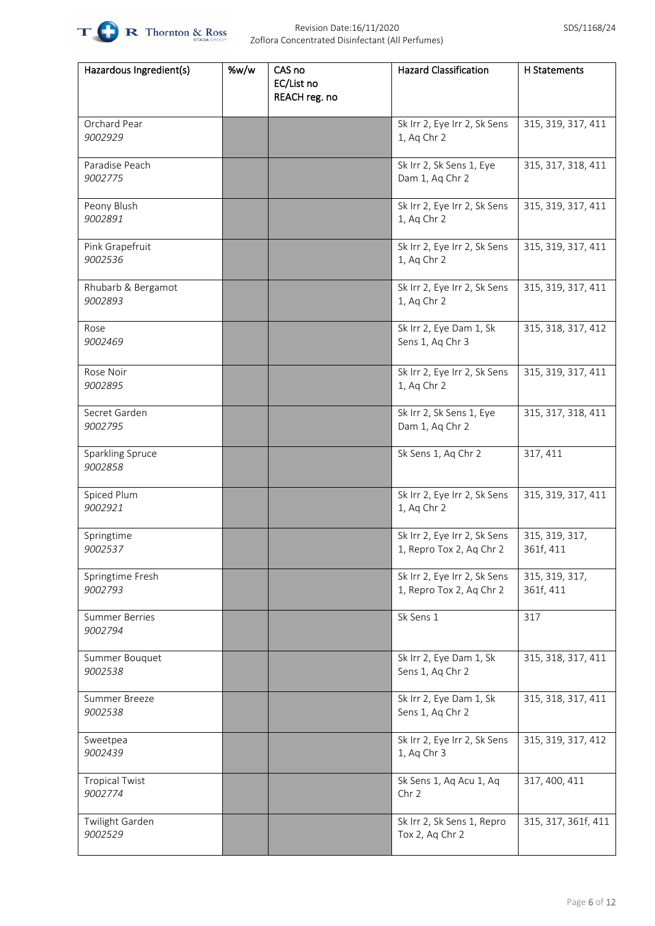

| Hazardous Ingredient(s)          | %w/w | CAS no                      | <b>Hazard Classification</b>                             | H Statements                |
|----------------------------------|------|-----------------------------|----------------------------------------------------------|-----------------------------|
|                                  |      | EC/List no<br>REACH reg. no |                                                          |                             |
| Orchard Pear<br>9002929          |      |                             | Sk Irr 2, Eye Irr 2, Sk Sens<br>1, Aq Chr 2              | 315, 319, 317, 411          |
| Paradise Peach<br>9002775        |      |                             | Sk Irr 2, Sk Sens 1, Eye<br>Dam 1, Aq Chr 2              | 315, 317, 318, 411          |
| Peony Blush<br>9002891           |      |                             | Sk Irr 2, Eye Irr 2, Sk Sens<br>1, Aq Chr 2              | 315, 319, 317, 411          |
| Pink Grapefruit<br>9002536       |      |                             | Sk Irr 2, Eye Irr 2, Sk Sens<br>1, Aq Chr 2              | 315, 319, 317, 411          |
| Rhubarb & Bergamot<br>9002893    |      |                             | Sk Irr 2, Eye Irr 2, Sk Sens<br>1, Aq Chr 2              | 315, 319, 317, 411          |
| Rose<br>9002469                  |      |                             | Sk Irr 2, Eye Dam 1, Sk<br>Sens 1, Aq Chr 3              | 315, 318, 317, 412          |
| Rose Noir<br>9002895             |      |                             | Sk Irr 2, Eye Irr 2, Sk Sens<br>1, Aq Chr 2              | 315, 319, 317, 411          |
| Secret Garden<br>9002795         |      |                             | Sk Irr 2, Sk Sens 1, Eye<br>Dam 1, Aq Chr 2              | 315, 317, 318, 411          |
| Sparkling Spruce<br>9002858      |      |                             | Sk Sens 1, Aq Chr 2                                      | 317, 411                    |
| Spiced Plum<br>9002921           |      |                             | Sk Irr 2, Eye Irr 2, Sk Sens<br>1, Aq Chr 2              | 315, 319, 317, 411          |
| Springtime<br>9002537            |      |                             | Sk Irr 2, Eye Irr 2, Sk Sens<br>1, Repro Tox 2, Aq Chr 2 | 315, 319, 317,<br>361f, 411 |
| Springtime Fresh<br>9002793      |      |                             | Sk Irr 2, Eye Irr 2, Sk Sens<br>1, Repro Tox 2, Aq Chr 2 | 315, 319, 317,<br>361f, 411 |
| <b>Summer Berries</b><br>9002794 |      |                             | Sk Sens 1                                                | 317                         |
| Summer Bouquet<br>9002538        |      |                             | Sk Irr 2, Eye Dam 1, Sk<br>Sens 1, Aq Chr 2              | 315, 318, 317, 411          |
| Summer Breeze<br>9002538         |      |                             | Sk Irr 2, Eye Dam 1, Sk<br>Sens 1, Aq Chr 2              | 315, 318, 317, 411          |
| Sweetpea<br>9002439              |      |                             | Sk Irr 2, Eye Irr 2, Sk Sens<br>1, Aq Chr 3              | 315, 319, 317, 412          |
| <b>Tropical Twist</b><br>9002774 |      |                             | Sk Sens 1, Aq Acu 1, Aq<br>Chr 2                         | 317, 400, 411               |
| Twilight Garden<br>9002529       |      |                             | Sk Irr 2, Sk Sens 1, Repro<br>Tox 2, Aq Chr 2            | 315, 317, 361f, 411         |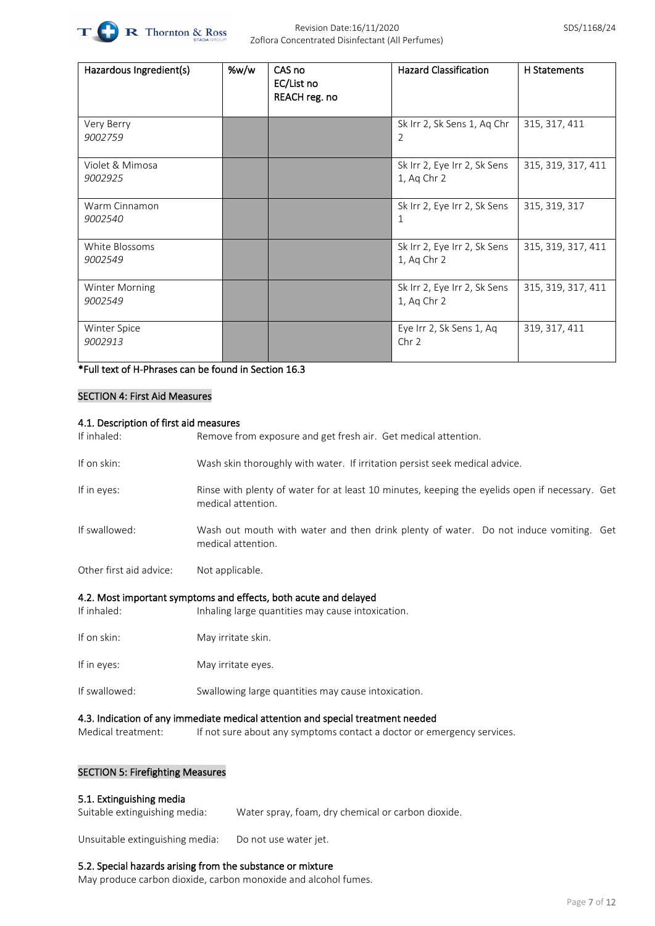

| Hazardous Ingredient(s)    | %w/w | CAS no<br>EC/List no<br>REACH reg. no | <b>Hazard Classification</b>                 | H Statements       |
|----------------------------|------|---------------------------------------|----------------------------------------------|--------------------|
| Very Berry<br>9002759      |      |                                       | Sk Irr 2, Sk Sens 1, Aq Chr<br>2             | 315, 317, 411      |
| Violet & Mimosa<br>9002925 |      |                                       | Sk Irr 2, Eye Irr 2, Sk Sens<br>1, Aq Chr 2  | 315, 319, 317, 411 |
| Warm Cinnamon<br>9002540   |      |                                       | Sk Irr 2, Eye Irr 2, Sk Sens<br>1            | 315, 319, 317      |
| White Blossoms<br>9002549  |      |                                       | Sk Irr 2, Eye Irr 2, Sk Sens<br>1, Aq Chr 2  | 315, 319, 317, 411 |
| Winter Morning<br>9002549  |      |                                       | Sk Irr 2, Eye Irr 2, Sk Sens<br>1, Aq Chr 2  | 315, 319, 317, 411 |
| Winter Spice<br>9002913    |      |                                       | Eye Irr 2, Sk Sens 1, Aq<br>Chr <sub>2</sub> | 319, 317, 411      |

\*Full text of H-Phrases can be found in Section 16.3

### SECTION 4: First Aid Measures

### 4.1. Description of first aid measures

| If inhaled:             | Remove from exposure and get fresh air. Get medical attention.                                                        |
|-------------------------|-----------------------------------------------------------------------------------------------------------------------|
| If on skin:             | Wash skin thoroughly with water. If irritation persist seek medical advice.                                           |
| If in eyes:             | Rinse with plenty of water for at least 10 minutes, keeping the eyelids open if necessary. Get<br>medical attention.  |
| If swallowed:           | Wash out mouth with water and then drink plenty of water. Do not induce vomiting. Get<br>medical attention.           |
| Other first aid advice: | Not applicable.                                                                                                       |
| If inhaled:             | 4.2. Most important symptoms and effects, both acute and delayed<br>Inhaling large quantities may cause intoxication. |
| If on skin:             | May irritate skin.                                                                                                    |
| If in eyes:             | May irritate eyes.                                                                                                    |
| If swallowed:           | Swallowing large quantities may cause intoxication.                                                                   |

## 4.3. Indication of any immediate medical attention and special treatment needed

Medical treatment: If not sure about any symptoms contact a doctor or emergency services.

# SECTION 5: Firefighting Measures

# 5.1. Extinguishing media

Suitable extinguishing media: Water spray, foam, dry chemical or carbon dioxide.

Unsuitable extinguishing media: Do not use water jet.

# 5.2. Special hazards arising from the substance or mixture

May produce carbon dioxide, carbon monoxide and alcohol fumes.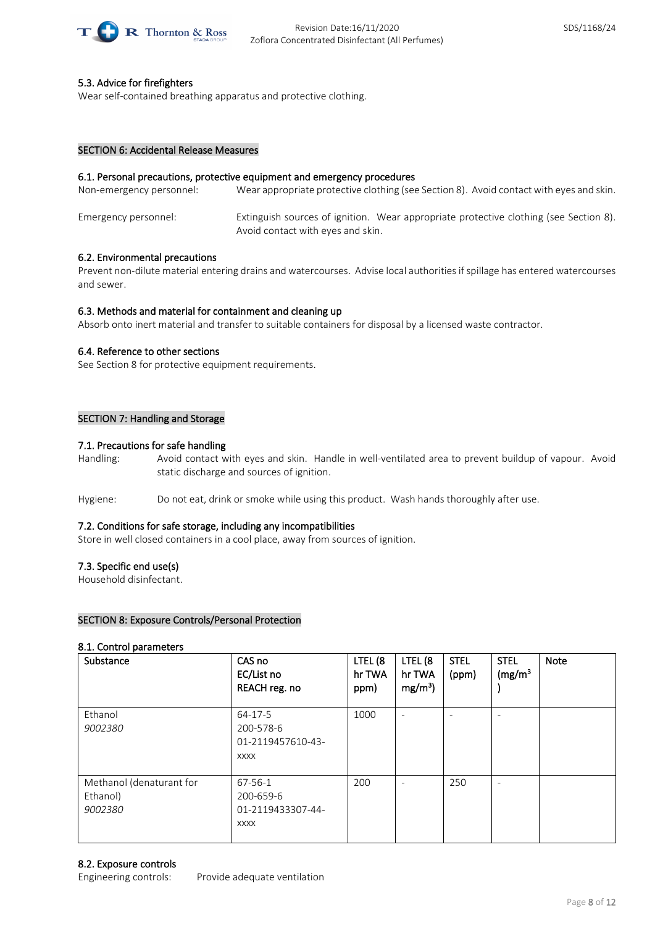

# 5.3. Advice for firefighters

Wear self-contained breathing apparatus and protective clothing.

# SECTION 6: Accidental Release Measures

#### 6.1. Personal precautions, protective equipment and emergency procedures

| Non-emergency personnel: | Wear appropriate protective clothing (see Section 8). Avoid contact with eyes and skin. |  |
|--------------------------|-----------------------------------------------------------------------------------------|--|
|--------------------------|-----------------------------------------------------------------------------------------|--|

Emergency personnel: Extinguish sources of ignition. Wear appropriate protective clothing (see Section 8). Avoid contact with eyes and skin.

#### 6.2. Environmental precautions

Prevent non-dilute material entering drains and watercourses. Advise local authorities if spillage has entered watercourses and sewer.

#### 6.3. Methods and material for containment and cleaning up

Absorb onto inert material and transfer to suitable containers for disposal by a licensed waste contractor.

#### 6.4. Reference to other sections

See Section 8 for protective equipment requirements.

## SECTION 7: Handling and Storage

### 7.1. Precautions for safe handling

Handling: Avoid contact with eyes and skin. Handle in well-ventilated area to prevent buildup of vapour. Avoid static discharge and sources of ignition.

Hygiene: Do not eat, drink or smoke while using this product. Wash hands thoroughly after use.

#### 7.2. Conditions for safe storage, including any incompatibilities

Store in well closed containers in a cool place, away from sources of ignition.

#### 7.3. Specific end use(s)

Household disinfectant.

# SECTION 8: Exposure Controls/Personal Protection

#### 8.1. Control parameters

| Substance                | CAS no<br>EC/List no<br>REACH reg. no | LTEL (8<br>hr TWA<br>ppm) | LTEL (8<br>hr TWA<br>mg/m <sup>3</sup> | <b>STEL</b><br>(ppm) | <b>STEL</b><br>(mg/m <sup>3</sup> ) | <b>Note</b> |
|--------------------------|---------------------------------------|---------------------------|----------------------------------------|----------------------|-------------------------------------|-------------|
| Ethanol                  | $64 - 17 - 5$                         | 1000                      | $\overline{\phantom{a}}$               |                      | $\overline{\phantom{a}}$            |             |
| 9002380                  | 200-578-6                             |                           |                                        |                      |                                     |             |
|                          | 01-2119457610-43-                     |                           |                                        |                      |                                     |             |
|                          | <b>XXXX</b>                           |                           |                                        |                      |                                     |             |
| Methanol (denaturant for | 67-56-1                               | 200                       | $\overline{\phantom{a}}$               | 250                  | $\overline{\phantom{a}}$            |             |
| Ethanol)                 | 200-659-6                             |                           |                                        |                      |                                     |             |
| 9002380                  | 01-2119433307-44-                     |                           |                                        |                      |                                     |             |
|                          | <b>XXXX</b>                           |                           |                                        |                      |                                     |             |
|                          |                                       |                           |                                        |                      |                                     |             |

#### 8.2. Exposure controls

Engineering controls: Provide adequate ventilation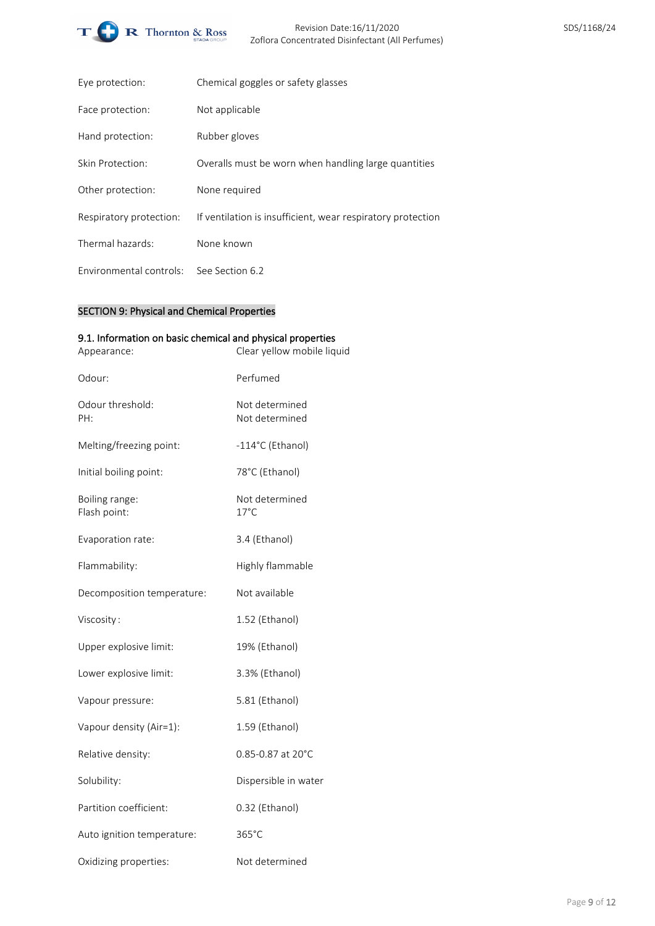

| Eye protection:         | Chemical goggles or safety glasses                          |
|-------------------------|-------------------------------------------------------------|
| Face protection:        | Not applicable                                              |
| Hand protection:        | Rubber gloves                                               |
| Skin Protection:        | Overalls must be worn when handling large quantities        |
| Other protection:       | None required                                               |
| Respiratory protection: | If ventilation is insufficient, wear respiratory protection |
| Thermal hazards:        | None known                                                  |
| Environmental controls: | See Section 6.2                                             |

# SECTION 9: Physical and Chemical Properties

| 9.1. Information on basic chemical and physical properties<br>Appearance: | Clear yellow mobile liquid       |
|---------------------------------------------------------------------------|----------------------------------|
| Odour:                                                                    | Perfumed                         |
| Odour threshold:<br>PH:                                                   | Not determined<br>Not determined |
| Melting/freezing point:                                                   | -114°C (Ethanol)                 |
| Initial boiling point:                                                    | 78°C (Ethanol)                   |
| Boiling range:<br>Flash point:                                            | Not determined<br>$17^{\circ}$ C |
| Evaporation rate:                                                         | 3.4 (Ethanol)                    |
| Flammability:                                                             | Highly flammable                 |
| Decomposition temperature:                                                | Not available                    |
| Viscosity:                                                                | 1.52 (Ethanol)                   |
| Upper explosive limit:                                                    | 19% (Ethanol)                    |
| Lower explosive limit:                                                    | 3.3% (Ethanol)                   |
| Vapour pressure:                                                          | 5.81 (Ethanol)                   |
| Vapour density (Air=1):                                                   | 1.59 (Ethanol)                   |
| Relative density:                                                         | $0.85 - 0.87$ at 20°C            |
| Solubility:                                                               | Dispersible in water             |
| Partition coefficient:                                                    | 0.32 (Ethanol)                   |
| Auto ignition temperature:                                                | $365^{\circ}$ C                  |
|                                                                           |                                  |

# Oxidizing properties: Not determined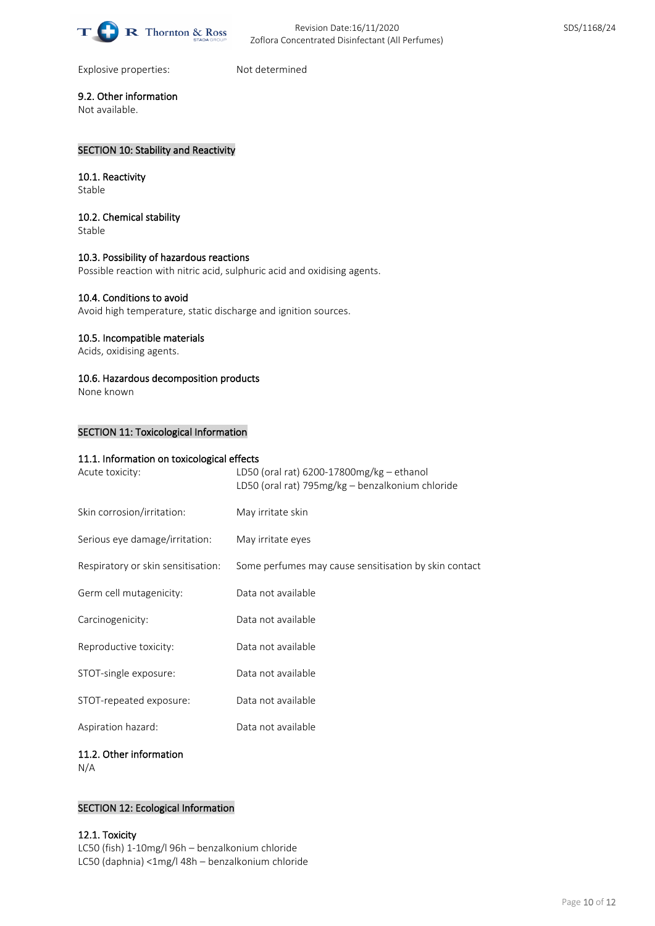

Explosive properties: Not determined

#### 9.2. Other information Not available.

# SECTION 10: Stability and Reactivity

# 10.1. Reactivity

Stable

# 10.2. Chemical stability

Stable

# 10.3. Possibility of hazardous reactions

Possible reaction with nitric acid, sulphuric acid and oxidising agents.

# 10.4. Conditions to avoid

Avoid high temperature, static discharge and ignition sources.

# 10.5. Incompatible materials

Acids, oxidising agents.

# 10.6. Hazardous decomposition products

None known

# SECTION 11: Toxicological Information

# 11.1. Information on toxicological effects

| Acute toxicity:                    | LD50 (oral rat) 6200-17800mg/kg - ethanol<br>LD50 (oral rat) 795mg/kg - benzalkonium chloride |
|------------------------------------|-----------------------------------------------------------------------------------------------|
| Skin corrosion/irritation:         | May irritate skin                                                                             |
| Serious eye damage/irritation:     | May irritate eyes                                                                             |
| Respiratory or skin sensitisation: | Some perfumes may cause sensitisation by skin contact                                         |
| Germ cell mutagenicity:            | Data not available                                                                            |
| Carcinogenicity:                   | Data not available                                                                            |
| Reproductive toxicity:             | Data not available                                                                            |
| STOT-single exposure:              | Data not available                                                                            |
| STOT-repeated exposure:            | Data not available                                                                            |
| Aspiration hazard:                 | Data not available                                                                            |

# 11.2. Other information N/A

# SECTION 12: Ecological Information

# 12.1. Toxicity

LC50 (fish) 1-10mg/l 96h – benzalkonium chloride LC50 (daphnia) <1mg/l 48h – benzalkonium chloride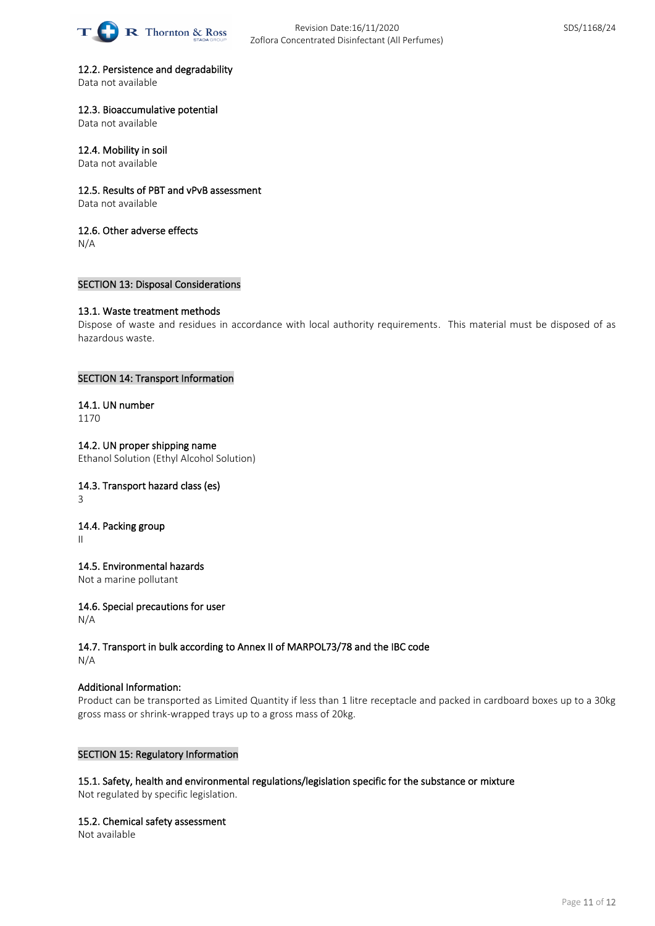

#### 12.2. Persistence and degradability

Data not available

#### 12.3. Bioaccumulative potential

Data not available

# 12.4. Mobility in soil

Data not available

# 12.5. Results of PBT and vPvB assessment

Data not available

# 12.6. Other adverse effects

N/A

# SECTION 13: Disposal Considerations

#### 13.1. Waste treatment methods

Dispose of waste and residues in accordance with local authority requirements. This material must be disposed of as hazardous waste.

# SECTION 14: Transport Information

# 14.1. UN number

1170

14.2. UN proper shipping name Ethanol Solution (Ethyl Alcohol Solution)

# 14.3. Transport hazard class (es)

3

#### 14.4. Packing group

II

#### 14.5. Environmental hazards

Not a marine pollutant

# 14.6. Special precautions for user

N/A

# 14.7. Transport in bulk according to Annex II of MARPOL73/78 and the IBC code

N/A

#### Additional Information:

Product can be transported as Limited Quantity if less than 1 litre receptacle and packed in cardboard boxes up to a 30kg gross mass or shrink-wrapped trays up to a gross mass of 20kg.

### SECTION 15: Regulatory Information

# 15.1. Safety, health and environmental regulations/legislation specific for the substance or mixture

Not regulated by specific legislation.

#### 15.2. Chemical safety assessment

Not available